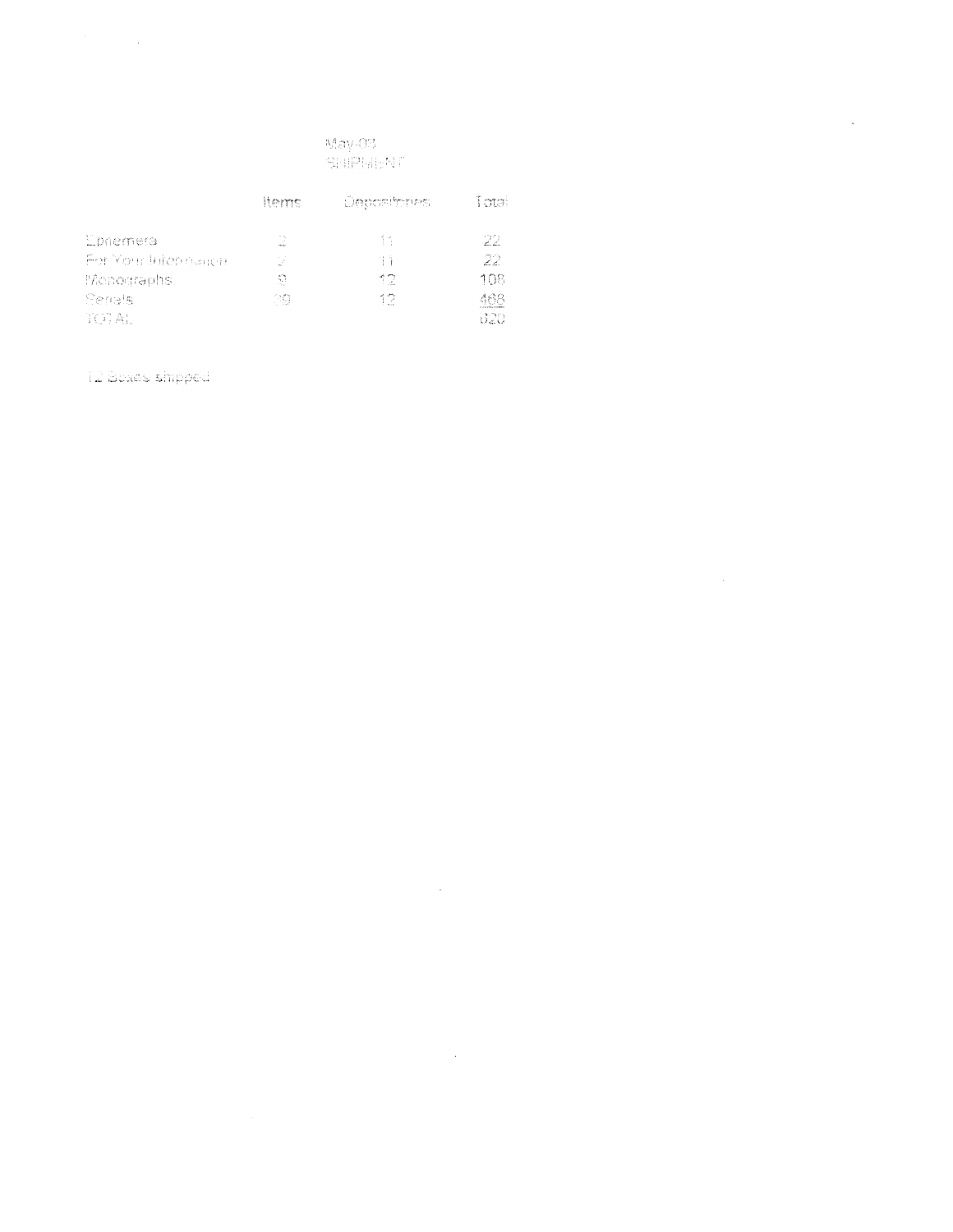# May-03 SHIPMENT

 $\sim 10^7$ 

 $\sim 10^{-11}$ 

 $\bar{\beta}$ 

|                     | ltems. | Departments | Tatail |
|---------------------|--------|-------------|--------|
| Ebhemera            | 2      | ŤŇ.         | -22    |
| For Your Internanch | -93    | Πĩ          | -22    |
| Monographs          | 9      | 12.         | 108    |
| Senais              | 29.    | 12          | 468    |
| TOTAL.              |        |             | -620.  |

12 Boxes shipped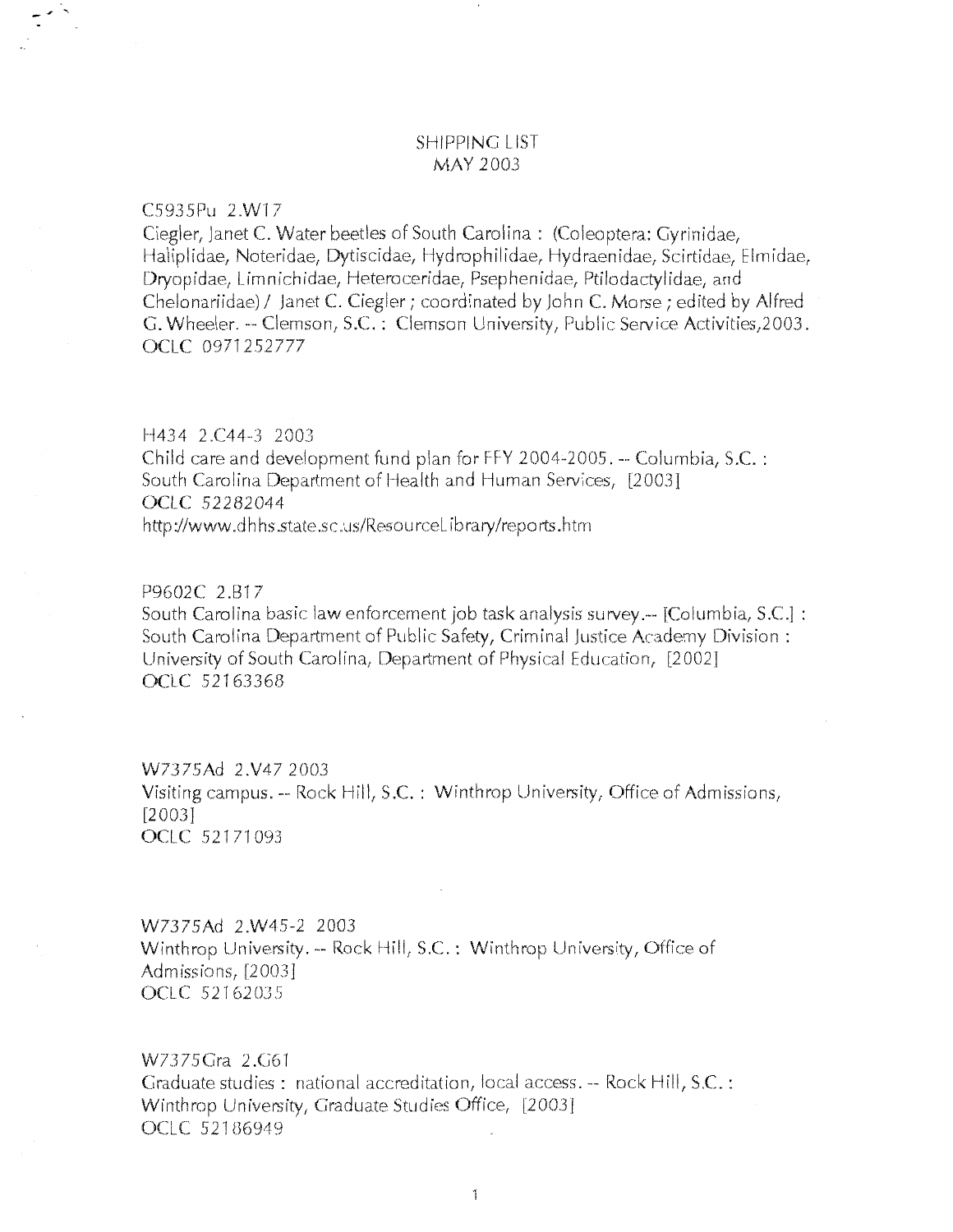## **SHIPPING LIST** MAY 2003

C5935Pu 2.W17

Ciegler, Janet C. Water beetles of South Carolina: (Coleoptera: Gyrinidae, Haliplidae, Noteridae, Dytiscidae, Hydrophilidae, Hydraenidae, Scirtidae, Elmidae, Dryopidae, Limnichidae, Heteroceridae, Psephenidae, Ptilodactylidae, and Chelonariidae) / Janet C. Ciegler; coordinated by John C. Morse; edited by Alfred G. Wheeler. -- Clemson, S.C.: Clemson University, Public Service Activities, 2003. OCLC 0971252777

#### H434 2.C44-3 2003

Child care and development fund plan for FFY 2004-2005. -- Columbia, S.C. : South Carolina Department of Health and Human Services, [2003] OCLC 52282044 http://www.dhhs.state.sc.us/ResourceLibrary/reports.htm

### P9602C 2.B17

South Carolina basic law enforcement job task analysis survey.-- [Columbia, S.C.] : South Carolina Department of Public Safety, Criminal Justice Academy Division: University of South Carolina, Department of Physical Education, [2002] OCLC 52163368

W7375Ad 2.V47 2003 Visiting campus. -- Rock Hill, S.C. : Winthrop University, Office of Admissions,  $[2003]$ OCLC 52171093

W7375Ad 2.W45-2 2003 Winthrop University. -- Rock Hill, S.C.: Winthrop University, Office of Admissions, [2003] OCLC 52162035

W7375Gra 2.G61 Graduate studies: national accreditation, local access. -- Rock Hill, S.C.: Winthrop University, Graduate Studies Office, [2003] OCLC 52186949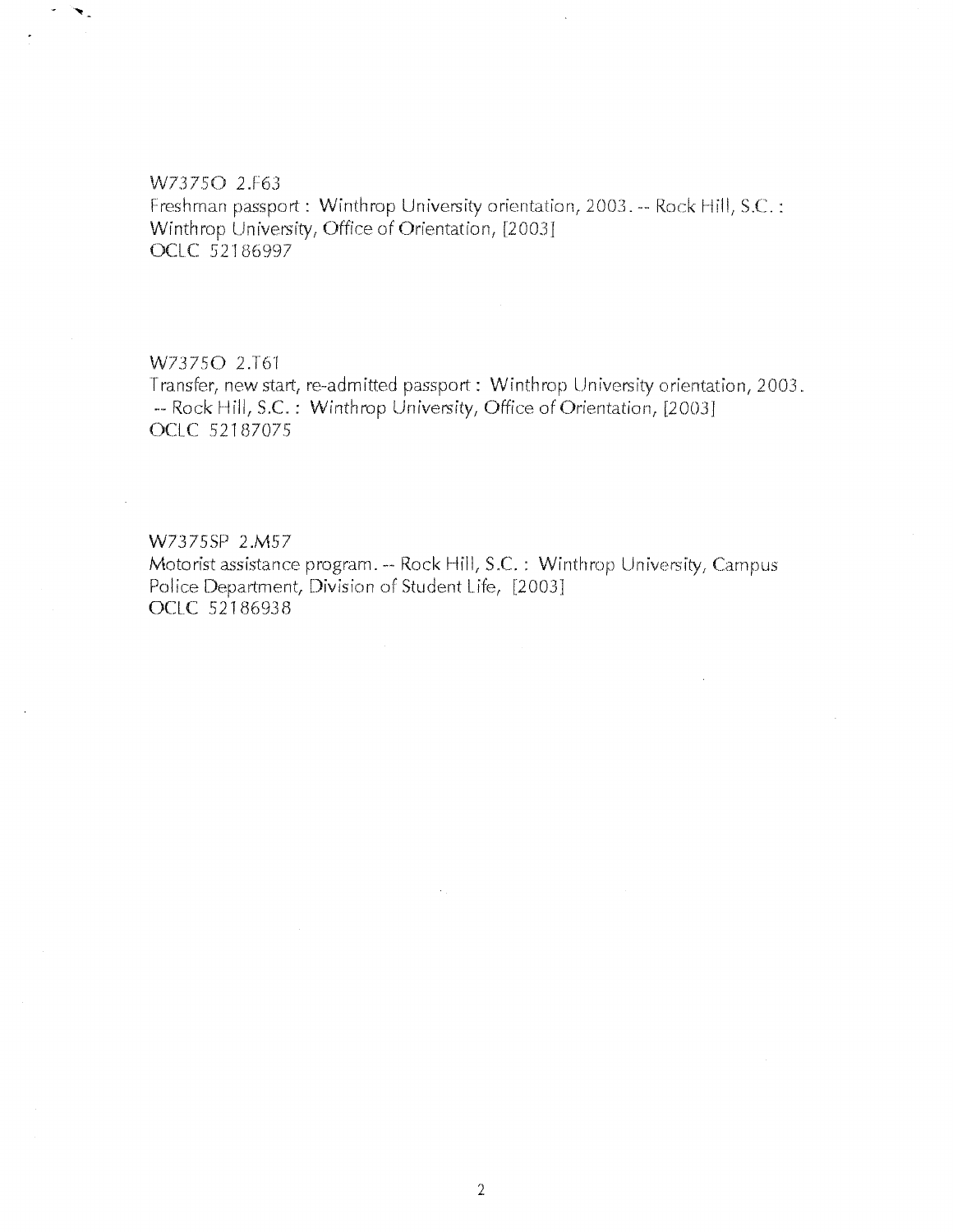#### W73750 2.F63

◥.

Freshman passport: Winthrop University orientation, 2003. -- Rock Hill, S.C.: Winthrop University, Office of Orientation, [2003] OCLC 52186997

## *W737SO* 2.T6'f

Transfer, new start, re-admitted passport : Winthrop University orientation, 2003. -- Rock Hill, S.C.: Winthrop University, Office of Orientation, [2003] OCLC 52187075

## W7375SP 2.M57

Motorist assistance program. -- Rock Hill, S.C.: Winthrop University, Campus Police Department, Division of Student Life, [2003] **OClC** .52186938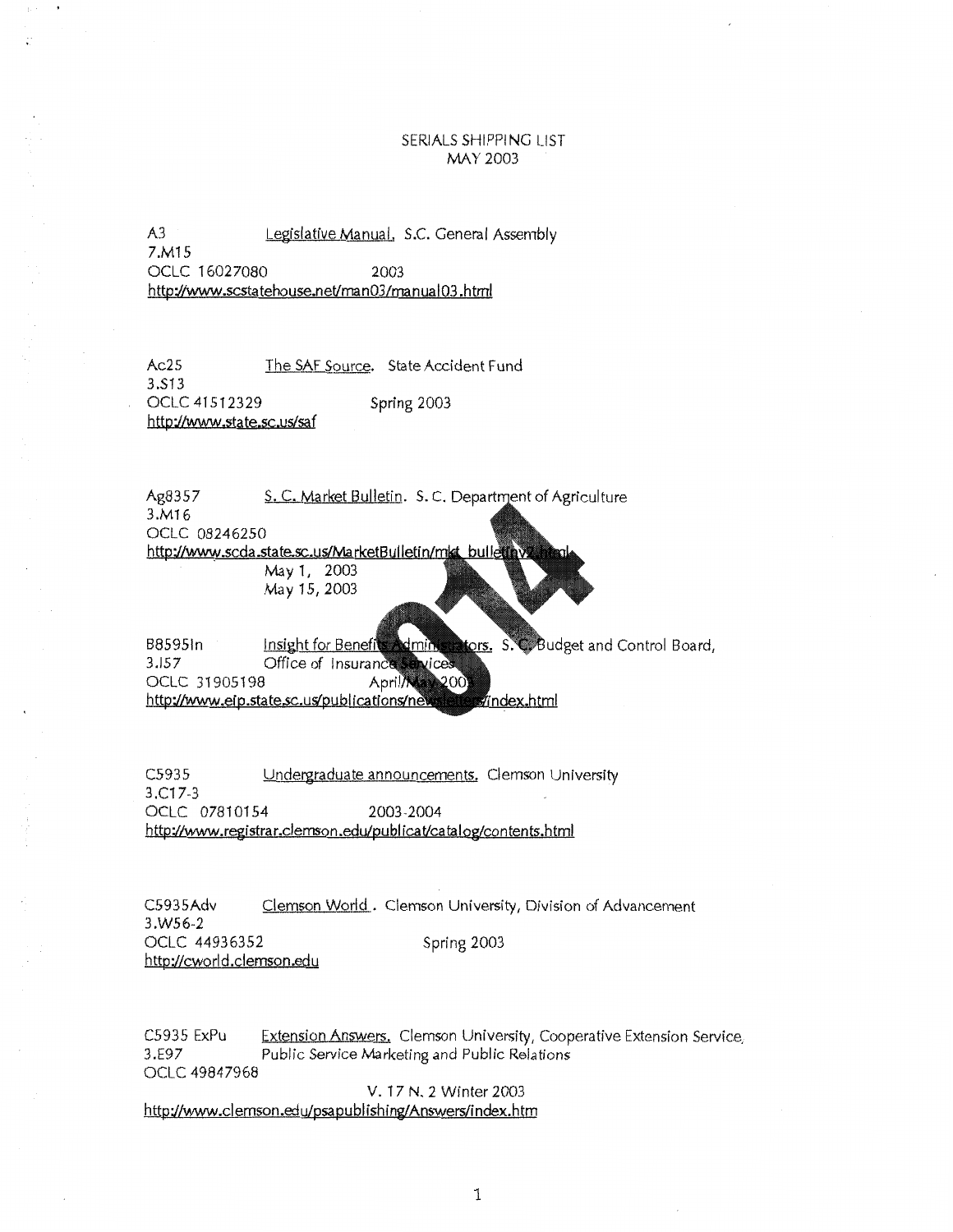#### SERIALS SHIPPING LIST MAY 2003

A3 Legislative Manual, S.C. General Assembly 7.M15 OCLC 16027080 2003 http://www.scstatehouse.net/man03/manual03.html

Ac25 The SAF Source. State Accident Fund 3.513 OCL.C 41512329 Spring 2003 http://www.state.sc.us/sa f

Ag8357 S. C. Market Bulletin. S. C. Department of Agriculture 3.M16 OCLC 08246250 http://www.scda.state.sc.us/MarketBulletin/mkt\_bulleti May 1, 2003 May 15, 2003

ors. S.C. Budget and Control Board, B8595In Insight for Benefi tmin.  $3.157$ Office of Insuranc vices April/Ma OCLC 31905198 200. http://www.eip.state.sc.us/publications/ne index.html

C5935 Undergraduate announcements. Clemson University 3.C17-3 OCL.C 07810154 2003-2004 http://www.registrar.clemson.edu/publicat/catalog/contents.html

C5935Adv Clemson World. Clemson University, Division of Advancement 3.W56-2 OCLC 44936352 Spring 2003 http://cworld.clemson.edu

C5935 ExPu Extension Answers, Clemson University, Cooperative Extension Service, 3.E97 Public Service Marketing and Public Relations OCLC 49847968

V. 17 N. 2 Winter 2003

http://www.clemson.edu/psapublishing/Answers/index.htm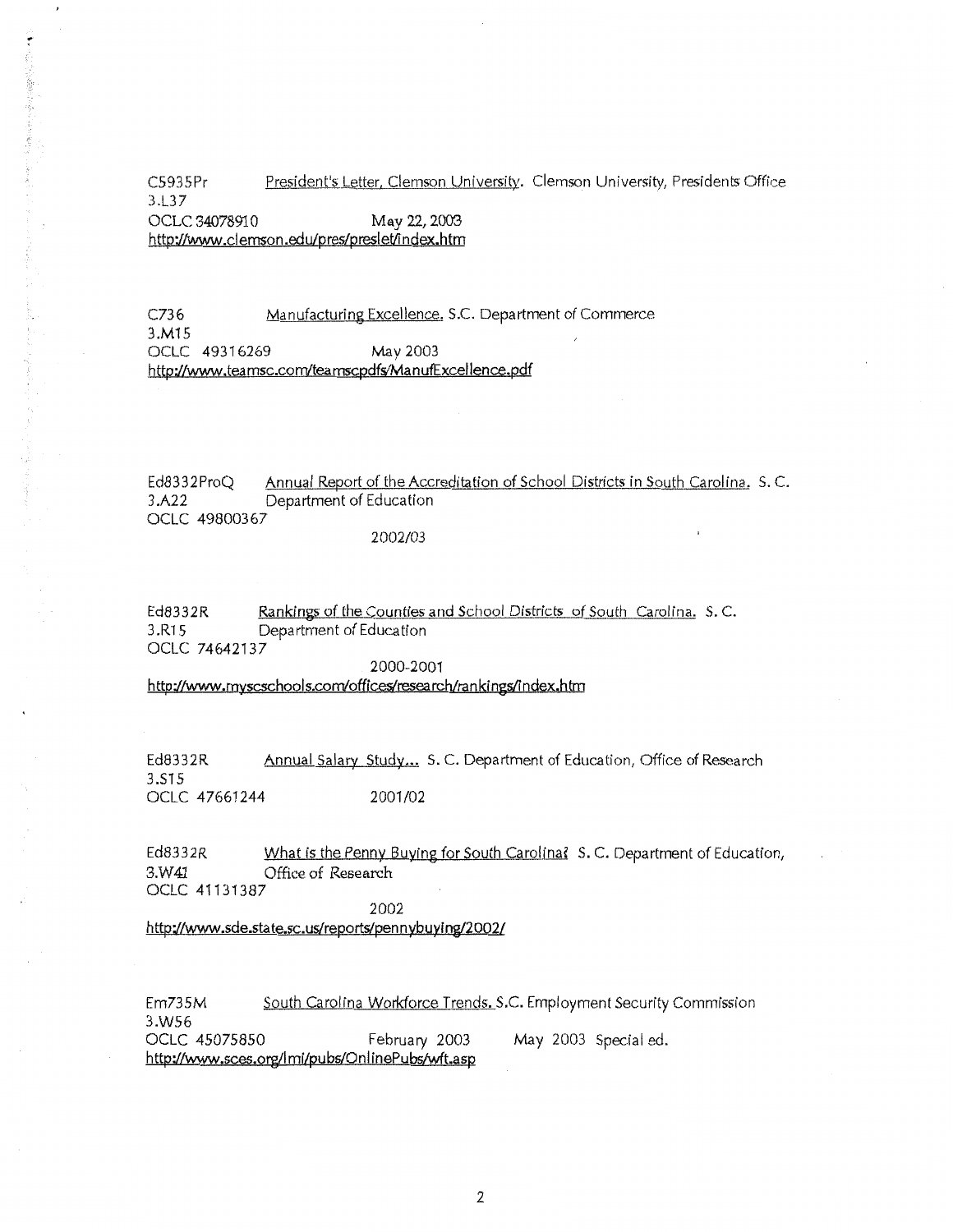C5935Pr President's Letter, Clemson University. Clemson University, Presidents Office 3.L37 OCLC 34078910 May 22,2003

http://www.clemson.edu/pres/preslet/index.htm

۳

小さん あんしゅう

C736 Manufacturing Excellence, S.C. Department of Commerce 3.M15 OCLC 49316269 May 2003 http://www .tea msc.com/tea mscpdfs/Ma nufExcellence.pdf

Ed8332ProQ Annual Report of the Accreditation of School Districts in South Carolina. S.C. 3.A22 Department of Education OCLC 498003 67

2002/03

Ed8332R Rankings of the Counties and School Districts of South Carolina. S.C. 3.R15 Department of Education OCLC 74642137

2000-2001

http://www.myscschools.com/offices/research/rankings/index.htm

Ed8332R Annual Salary Study... S. C. Department of Education, Office of Research 3.515 OCLC 47661244 2001/02

Ed8332R What is the Penny Buying for South Carolina? S.C. Department of Education, 3.W41 Office of Research OCLC 41131387

2002

http://www.sde.state.sc.us/reports/pennybuylng/2002/

Em735M South Carolina Workforce Trends. S.C. Employment Security Commission 3.WS6 OCLC 45075850 February 2003 May 2003 Special ed. http://www.sces.org/lmi/pubs/OnlinePubs/wft.asp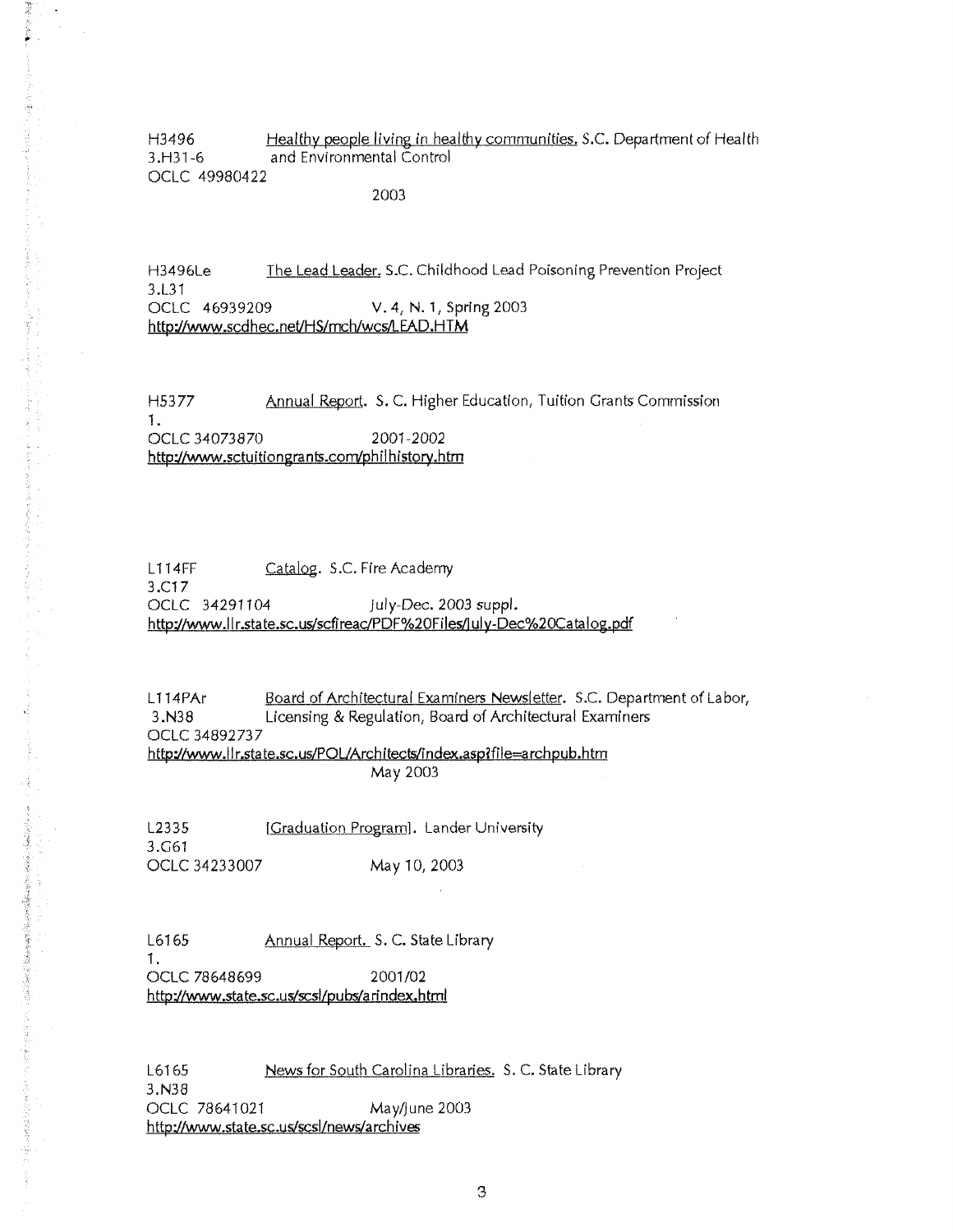H3496 **.thealthy people living in healthy communities.** *S.C. Department of Health* 3 .H31-6 and Environmental Control OCLC 49980422

2003

機械の名前に  $\ddot{\phantom{a}}$ 

資格の長品は満足をするのかすや食料(で)まったり

H3496Le The Lead Leader. S.C. Childhood Lead Poisoning Prevention Project 3.L31 OCLC 46939209 V. 4, N. 1, Spring 2003 **http://www.scdhec.net/HS/mch/wcs/LEAD.HTM** 

H5377 Annual Report. *S.C.* Higher Education, Tuition Grants Commission 1. OCLC 34073870 2001-2002 **http://www.sctuitiongrants.comlphilhistory.htm** 

L<sub>114FF</sub> Catalog. S.C. Fire Academy 3.C17 OCLC 34291104 july-Oec.2003suppl. **http://www.llr.state.sc.us/sdireac/PDF%20Files/iuly-Dec%20Catalog.pdf** 

L114PAr Board of Architectural Examiners Newsletter. S.C. Department of Labor, 3.N38 Licensing & Regulation, Board of Architectural Examiners OCLC 34892737 http://www.llr.state.sc.us/POL/Architects/index.asp?file=archpub.htm May 2003

L2335 [Graduation Program]. Lander University 3.G61 OCLC 34233007 May 10, 2003

L6165 **Annual Report.** S. C. State Library **1.**  OCLC 78648699 2001/02 **http://www.state.sc.us/scsl/pubs/arindex.html** 

L6165 **News for South Carolina Libraries.** S.C. State Library 3.N38 OCLC 78641021 May/june 2003 **http://www.state.sc.uwscsl/news/archives**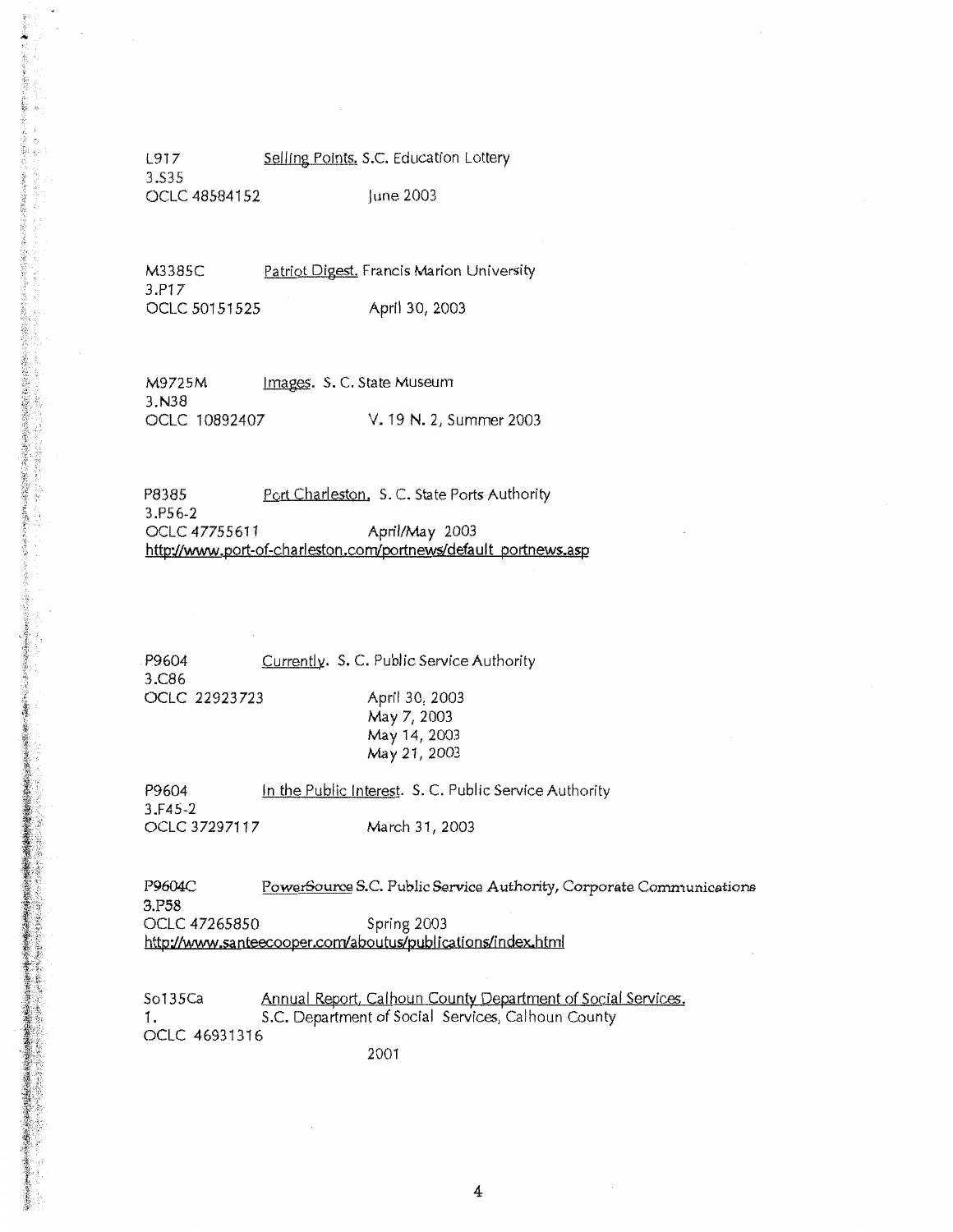L917 Selling Points. S.C. Education Lottery 3.S35 OCLC 48584152 June 2003

~' I

**このことに、「大学のことを見るのから、「おくないのから、「おくない」ということをするというのから、「おくないのから、「おくない」ということに、「おくない」ということに、「おくない」ということに、「おくない」** 

黄海

Solar Solar Solar Solar Solar Solar Solar Solar Solar Solar Solar Solar Solar Solar Solar Solar Solar Solar Solar Solar Solar Solar Solar Solar Solar Solar Solar Solar Solar Solar Solar Solar Solar Solar Solar Solar Solar

M3385C Patriot Digest. Francis Marion University 3.P17 OCLC 50151525 April 30, 2003

M9725M Images. S. C. State Museum 3.N38<br>OCLC 10892407 V. 19 N. 2, Summer 2003

P8385 Port Charleston. S. C. State Ports Authority 3.P56-2 OCLC 47755611 April/May 2003 http://www.port-of-charleston.com/portnews/default portnews.asp

P9604 3.C86 OCLC 22923723 Currently. S.C. Public Service Authority April 30, 2003 May 7, 2003 May 14, 2003 May 21, 2003

P9604 3.F45-2 OCLC 37297117 In the Public Interest. S. C. Public Service Authority March 31, 2003

P9604C PowerSource S.C. Public Service Authority, Corporate Communications 3.P58 OCLC 47265850 Spring 2003 http://www.sa nteec.ooper.com/aboutus/publ ications/index.html

So135Ca Annual Report, Calhoun County Department of Social Services. 1. S.C. Department of Social Services, Calhoun County OCLC 46931316

2001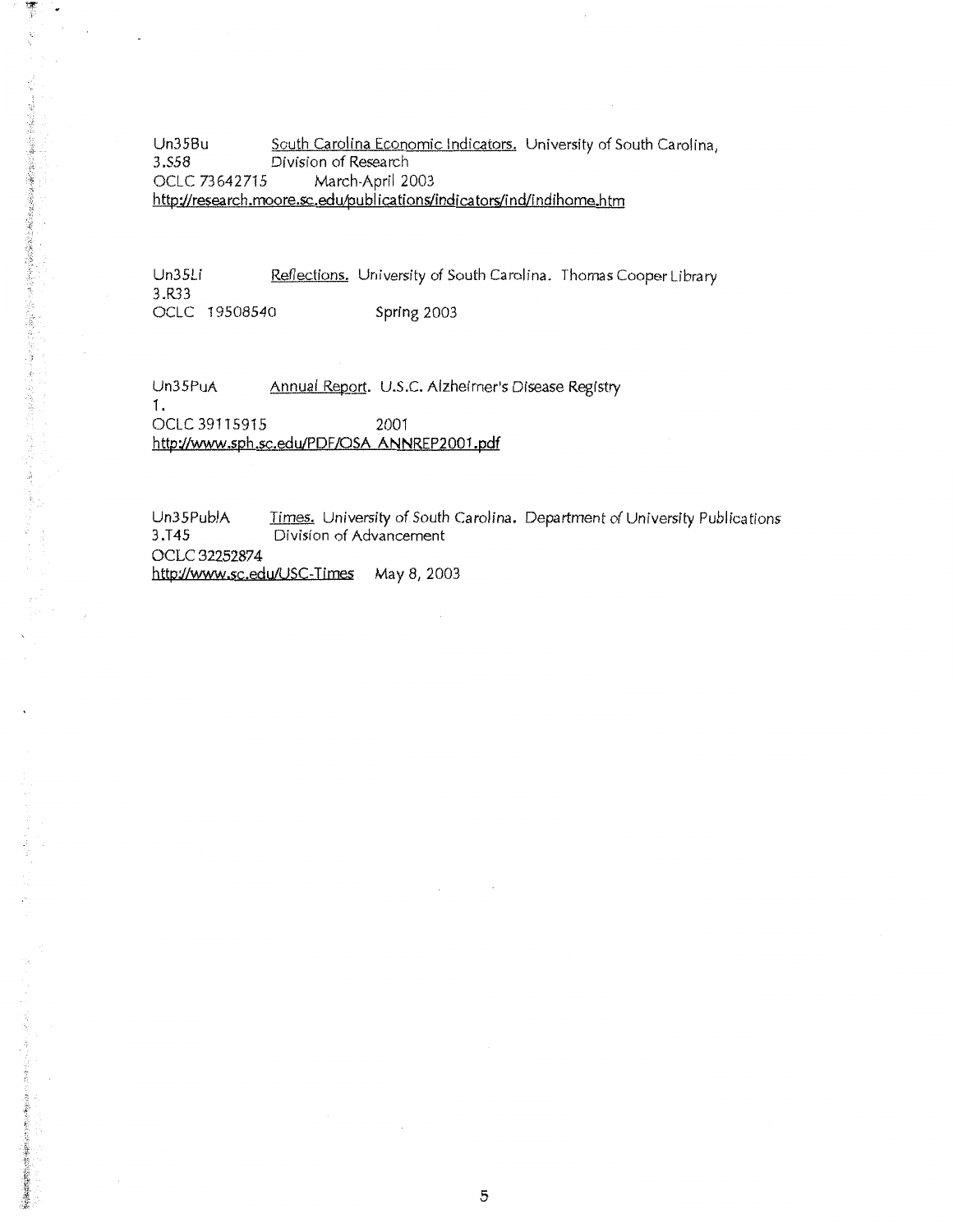Un35Bu South Carolina Economic Indicators. University of South Carolina,<br>3.558 Division of Research 3.558 Division of Research<br>12 OCLC 73642715 March-April March-April 2003 http://research.moore.sc.edu/publications/indicators/ind/indihome.htm

Un35Li 3.R33 Reflections. University of South Carolina. Thomas Cooper Library OCLC 19508540 Spring 2003

Un35PuA Annual Report. U.S.C. Alzheimer's Disease Registry

OCLC 39115915 2001 http://www.sph.sc.edu/PDF/OSA ANNREP2001.pdf

1.

博学  $\ddot{\phantom{a}}$ 

医德里氏综合征 网络海绵 医抗原酶的结肠的 医多种性 医子宫

Un35PubiA 3.T45 Times. University of South Carolina. Department of University Publications Division of Advancement OCLC 32252874 http://www.sc.edu/USC-Times May 8, 2003